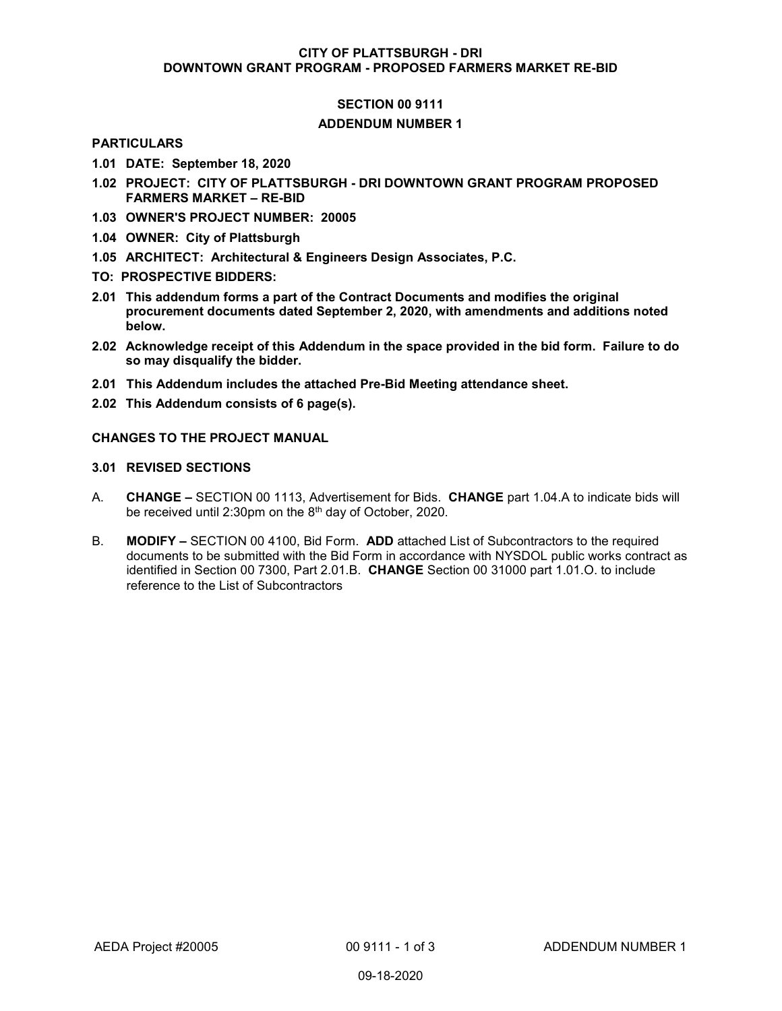### CITY OF PLATTSBURGH - DRI DOWNTOWN GRANT PROGRAM - PROPOSED FARMERS MARKET RE-BID

### SECTION 00 9111

### ADDENDUM NUMBER 1

#### PARTICULARS

- 1.01 DATE: September 18, 2020
- 1.02 PROJECT: CITY OF PLATTSBURGH DRI DOWNTOWN GRANT PROGRAM PROPOSED FARMERS MARKET – RE-BID
- 1.03 OWNER'S PROJECT NUMBER: 20005
- 1.04 OWNER: City of Plattsburgh
- 1.05 ARCHITECT: Architectural & Engineers Design Associates, P.C.
- TO: PROSPECTIVE BIDDERS:
- 2.01 This addendum forms a part of the Contract Documents and modifies the original procurement documents dated September 2, 2020, with amendments and additions noted below.
- 2.02 Acknowledge receipt of this Addendum in the space provided in the bid form. Failure to do so may disqualify the bidder.
- 2.01 This Addendum includes the attached Pre-Bid Meeting attendance sheet.
- 2.02 This Addendum consists of 6 page(s).

#### CHANGES TO THE PROJECT MANUAL

# 3.01 REVISED SECTIONS

- A. CHANGE SECTION 00 1113, Advertisement for Bids. CHANGE part 1.04.A to indicate bids will be received until 2:30pm on the 8th day of October, 2020.
- B. MODIFY SECTION 00 4100, Bid Form. ADD attached List of Subcontractors to the required documents to be submitted with the Bid Form in accordance with NYSDOL public works contract as identified in Section 00 7300, Part 2.01.B. CHANGE Section 00 31000 part 1.01.O. to include reference to the List of Subcontractors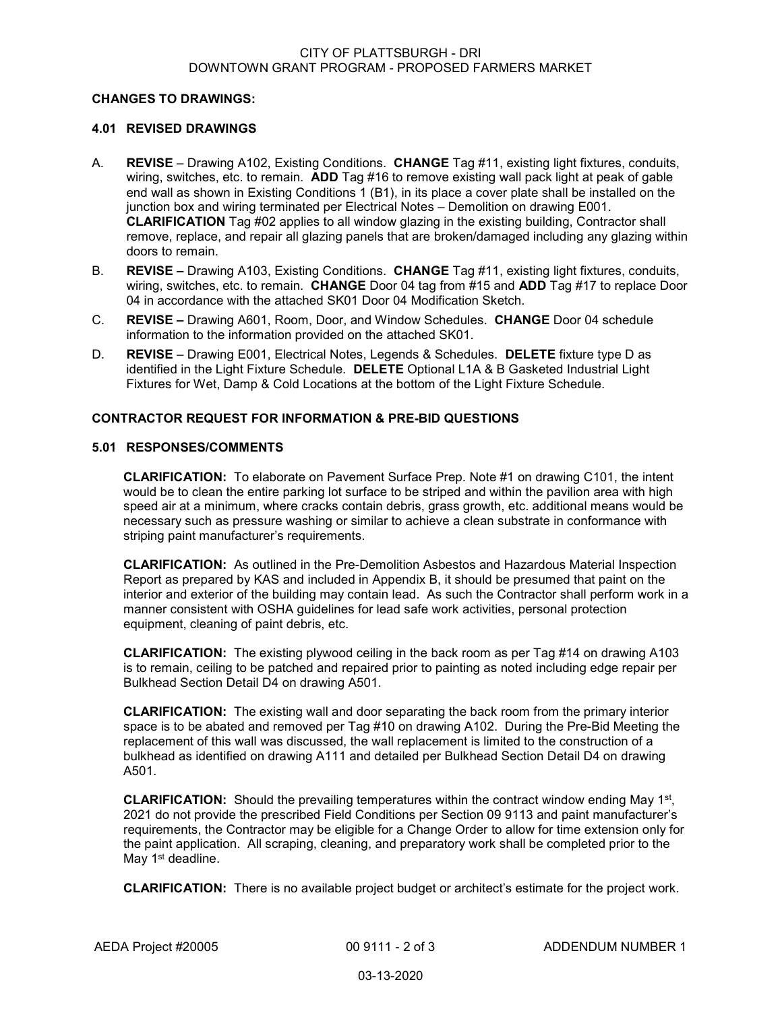#### CITY OF PLATTSBURGH - DRI DOWNTOWN GRANT PROGRAM - PROPOSED FARMERS MARKET

### CHANGES TO DRAWINGS:

# 4.01 REVISED DRAWINGS

- A. REVISE Drawing A102, Existing Conditions. CHANGE Tag #11, existing light fixtures, conduits, wiring, switches, etc. to remain. ADD Tag #16 to remove existing wall pack light at peak of gable end wall as shown in Existing Conditions 1 (B1), in its place a cover plate shall be installed on the junction box and wiring terminated per Electrical Notes – Demolition on drawing E001. CLARIFICATION Tag #02 applies to all window glazing in the existing building, Contractor shall remove, replace, and repair all glazing panels that are broken/damaged including any glazing within doors to remain.
- B. REVISE Drawing A103, Existing Conditions. CHANGE Tag #11, existing light fixtures, conduits, wiring, switches, etc. to remain. CHANGE Door 04 tag from #15 and ADD Tag #17 to replace Door 04 in accordance with the attached SK01 Door 04 Modification Sketch.
- C. REVISE Drawing A601, Room, Door, and Window Schedules. CHANGE Door 04 schedule information to the information provided on the attached SK01.
- D. REVISE Drawing E001, Electrical Notes, Legends & Schedules. DELETE fixture type D as identified in the Light Fixture Schedule. DELETE Optional L1A & B Gasketed Industrial Light Fixtures for Wet, Damp & Cold Locations at the bottom of the Light Fixture Schedule.

### CONTRACTOR REQUEST FOR INFORMATION & PRE-BID QUESTIONS

#### 5.01 RESPONSES/COMMENTS

CLARIFICATION: To elaborate on Pavement Surface Prep. Note #1 on drawing C101, the intent would be to clean the entire parking lot surface to be striped and within the pavilion area with high speed air at a minimum, where cracks contain debris, grass growth, etc. additional means would be necessary such as pressure washing or similar to achieve a clean substrate in conformance with striping paint manufacturer's requirements.

CLARIFICATION: As outlined in the Pre-Demolition Asbestos and Hazardous Material Inspection Report as prepared by KAS and included in Appendix B, it should be presumed that paint on the interior and exterior of the building may contain lead. As such the Contractor shall perform work in a manner consistent with OSHA guidelines for lead safe work activities, personal protection equipment, cleaning of paint debris, etc.

CLARIFICATION: The existing plywood ceiling in the back room as per Tag #14 on drawing A103 is to remain, ceiling to be patched and repaired prior to painting as noted including edge repair per Bulkhead Section Detail D4 on drawing A501.

CLARIFICATION: The existing wall and door separating the back room from the primary interior space is to be abated and removed per Tag #10 on drawing A102. During the Pre-Bid Meeting the replacement of this wall was discussed, the wall replacement is limited to the construction of a bulkhead as identified on drawing A111 and detailed per Bulkhead Section Detail D4 on drawing A501.

**CLARIFICATION:** Should the prevailing temperatures within the contract window ending May 1<sup>st</sup>, 2021 do not provide the prescribed Field Conditions per Section 09 9113 and paint manufacturer's requirements, the Contractor may be eligible for a Change Order to allow for time extension only for the paint application. All scraping, cleaning, and preparatory work shall be completed prior to the May 1<sup>st</sup> deadline.

CLARIFICATION: There is no available project budget or architect's estimate for the project work.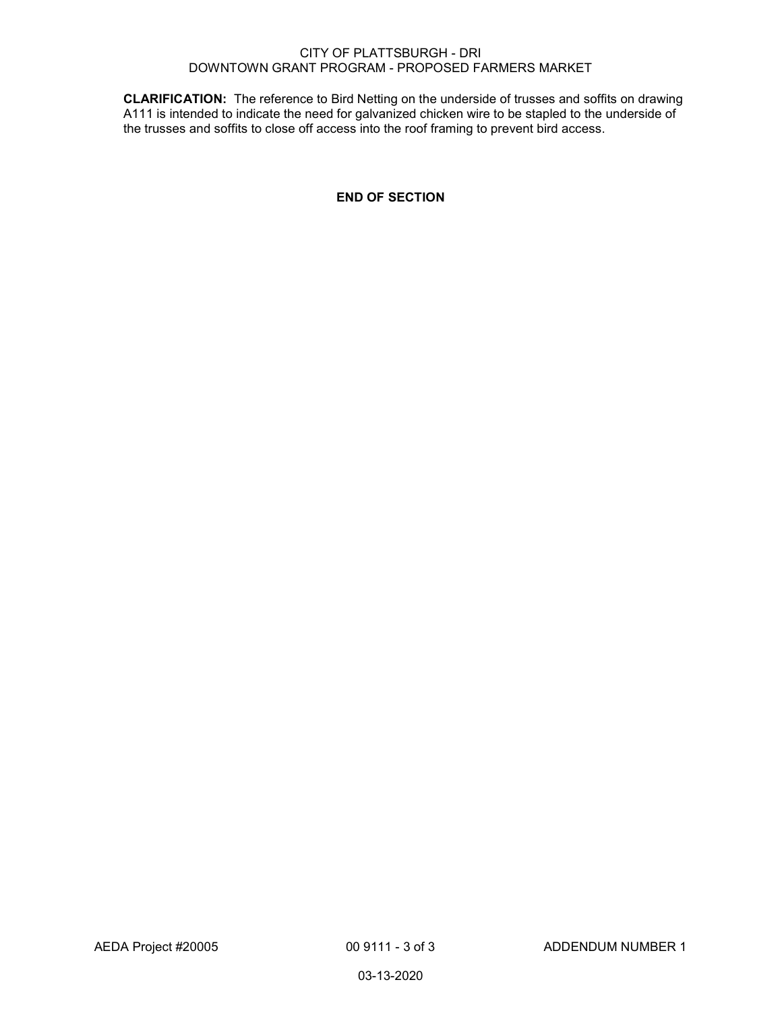## CITY OF PLATTSBURGH - DRI DOWNTOWN GRANT PROGRAM - PROPOSED FARMERS MARKET

CLARIFICATION: The reference to Bird Netting on the underside of trusses and soffits on drawing A111 is intended to indicate the need for galvanized chicken wire to be stapled to the underside of the trusses and soffits to close off access into the roof framing to prevent bird access.

END OF SECTION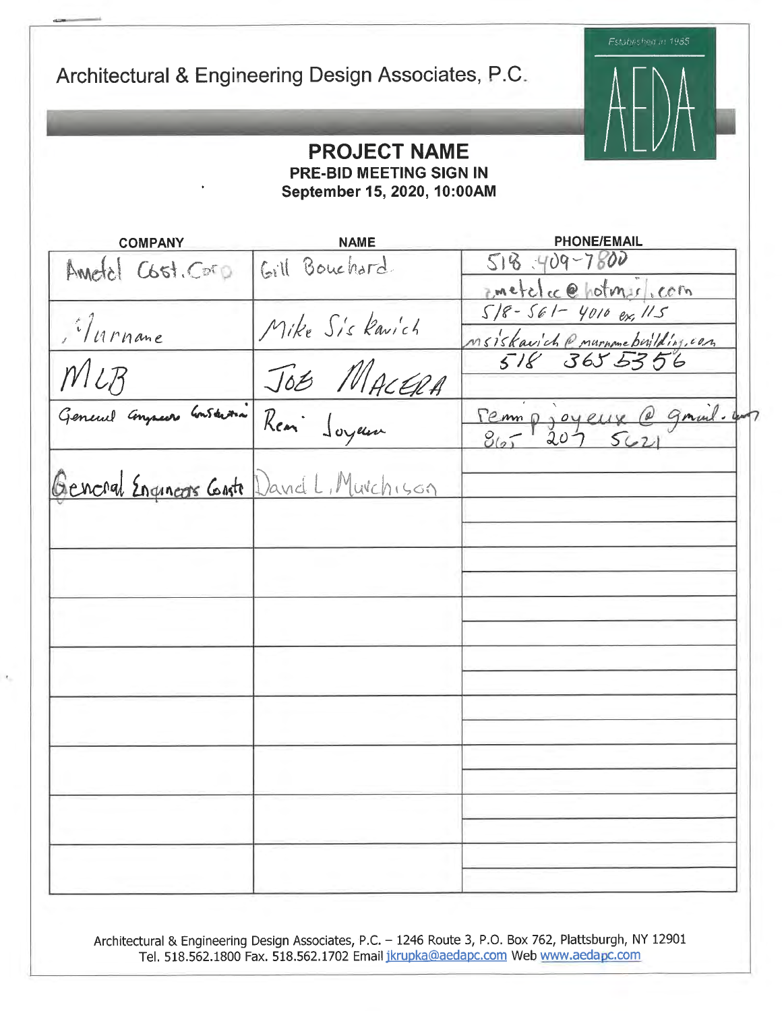Architectural & Engineering Design Associates, P.C.



| <b>PROJECT NAME</b><br><b>PRE-BID MEETING SIGN IN</b><br>September 15, 2020, 10:00AM |                 |                                                                  |  |
|--------------------------------------------------------------------------------------|-----------------|------------------------------------------------------------------|--|
| <b>COMPANY</b>                                                                       | <b>NAME</b>     | <b>PHONE/EMAIL</b>                                               |  |
| Ametal C657. Corp                                                                    | Gill Bouchard   | $518.409 - 7800$<br>emetalce potentilicom                        |  |
| Varnane                                                                              | Mike Sis kavich | $5/8 - 561 - 4010$ ex, 115<br>MSISKavich @ murnome building, con |  |
| MLB                                                                                  | JOB MACERA      | $518$ 3655356                                                    |  |
| General Congreus Constantin                                                          | Remi Joyeun     | Penn pjoyeux @ gnuil.un                                          |  |
| General Engineers Conste David L, Murchison                                          |                 |                                                                  |  |
|                                                                                      |                 |                                                                  |  |
|                                                                                      |                 |                                                                  |  |
|                                                                                      |                 |                                                                  |  |
|                                                                                      |                 |                                                                  |  |
|                                                                                      |                 |                                                                  |  |
|                                                                                      |                 |                                                                  |  |
|                                                                                      |                 |                                                                  |  |
|                                                                                      |                 |                                                                  |  |

Architectural & Engineering Design Associates, P.C. - 1246 Route 3, P.O. Box 762, Plattsburgh, NY 12901<br>Tel. 518.562.1800 Fax. 518.562.1702 Email jkrupka@aedapc.com Web www.aedapc.com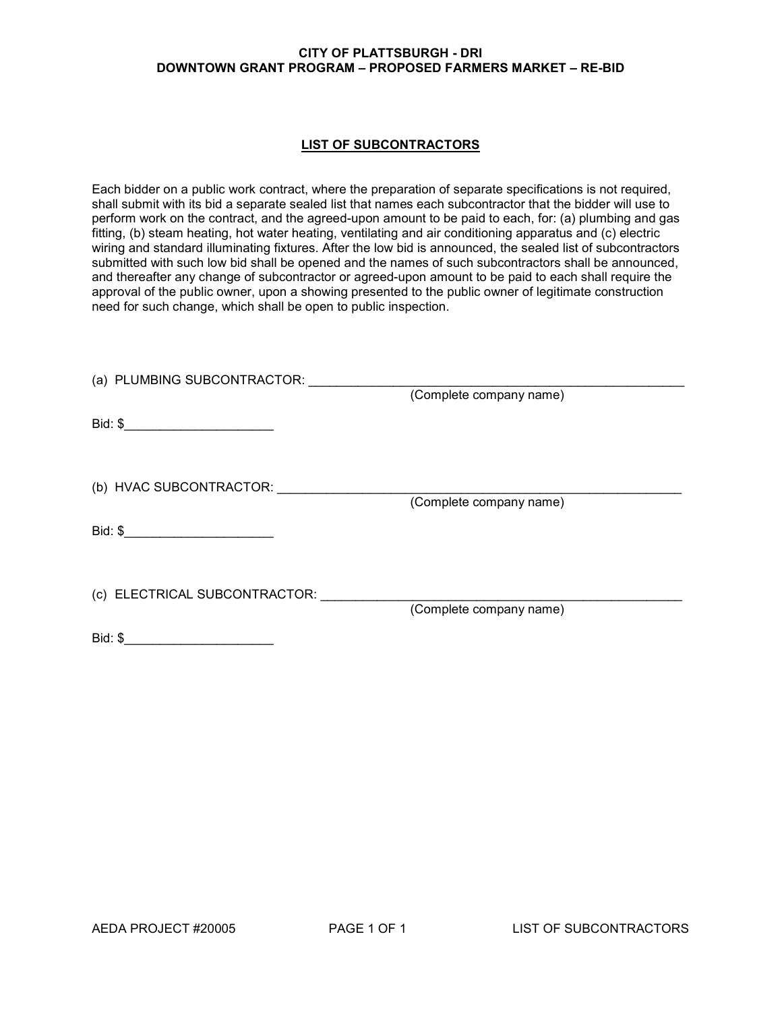# CITY OF PLATTSBURGH - DRI DOWNTOWN GRANT PROGRAM – PROPOSED FARMERS MARKET – RE-BID

# LIST OF SUBCONTRACTORS

Each bidder on a public work contract, where the preparation of separate specifications is not required, shall submit with its bid a separate sealed list that names each subcontractor that the bidder will use to perform work on the contract, and the agreed-upon amount to be paid to each, for: (a) plumbing and gas fitting, (b) steam heating, hot water heating, ventilating and air conditioning apparatus and (c) electric wiring and standard illuminating fixtures. After the low bid is announced, the sealed list of subcontractors submitted with such low bid shall be opened and the names of such subcontractors shall be announced, and thereafter any change of subcontractor or agreed-upon amount to be paid to each shall require the approval of the public owner, upon a showing presented to the public owner of legitimate construction need for such change, which shall be open to public inspection.

| (a) PLUMBING SUBCONTRACTOR:   |                         |
|-------------------------------|-------------------------|
|                               | (Complete company name) |
| Bid: \$                       |                         |
| (b) HVAC SUBCONTRACTOR:       | (Complete company name) |
| Bid: \$                       |                         |
|                               |                         |
| (c) ELECTRICAL SUBCONTRACTOR: |                         |
|                               | (Complete company name) |
| Bid: \$                       |                         |